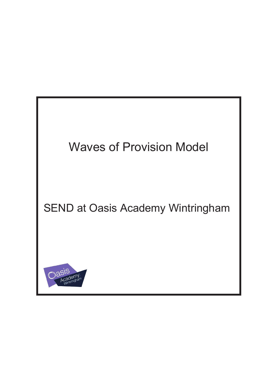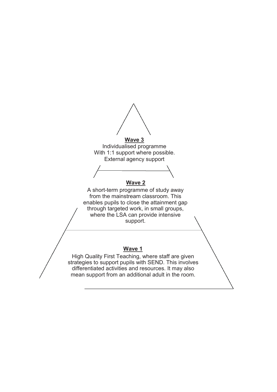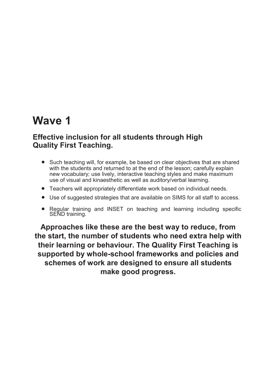### **Wave 1**

#### **Effective inclusion for all students through High Quality First Teaching.**

- Such teaching will, for example, be based on clear objectives that are shared with the students and returned to at the end of the lesson; carefully explain new vocabulary; use lively, interactive teaching styles and make maximum use of visual and kinaesthetic as well as auditory/verbal learning.
- Teachers will appropriately differentiate work based on individual needs.
- Use of suggested strategies that are available on SIMS for all staff to access.
- Regular training and INSET on teaching and learning including specific SEND training.

**Approaches like these are the best way to reduce, from the start, the number of students who need extra help with their learning or behaviour. The Quality First Teaching is supported by whole-school frameworks and policies and schemes of work are designed to ensure all students make good progress.**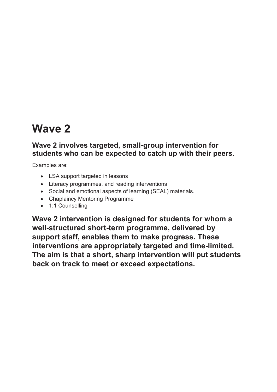# **Wave 2**

#### **Wave 2 involves targeted, small-group intervention for students who can be expected to catch up with their peers.**

Examples are:

- LSA support targeted in lessons
- Literacy programmes, and reading interventions
- Social and emotional aspects of learning (SEAL) materials.
- Chaplaincy Mentoring Programme
- 1:1 Counselling

**Wave 2 intervention is designed for students for whom a well-structured short-term programme, delivered by support staff, enables them to make progress. These interventions are appropriately targeted and time-limited. The aim is that a short, sharp intervention will put students back on track to meet or exceed expectations.**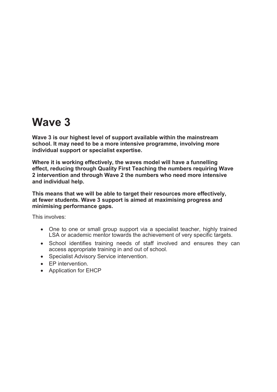### **Wave 3**

**Wave 3 is our highest level of support available within the mainstream school. It may need to be a more intensive programme, involving more individual support or specialist expertise.**

**Where it is working effectively, the waves model will have a funnelling effect, reducing through Quality First Teaching the numbers requiring Wave 2 intervention and through Wave 2 the numbers who need more intensive and individual help.**

**This means that we will be able to target their resources more effectively, at fewer students. Wave 3 support is aimed at maximising progress and minimising performance gaps.**

This involves:

- One to one or small group support via a specialist teacher, highly trained LSA or academic mentor towards the achievement of very specific targets.
- School identifies training needs of staff involved and ensures they can access appropriate training in and out of school.
- Specialist Advisory Service intervention.
- EP intervention.
- Application for EHCP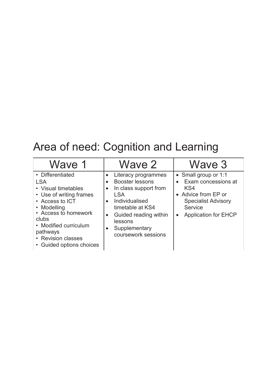# Area of need: Cognition and Learning

| Wave 1                                                                                                                                                                                                                                     | Wave 2                                                                                                                                                                                                                    | Wave 3                                                                                                                                                         |
|--------------------------------------------------------------------------------------------------------------------------------------------------------------------------------------------------------------------------------------------|---------------------------------------------------------------------------------------------------------------------------------------------------------------------------------------------------------------------------|----------------------------------------------------------------------------------------------------------------------------------------------------------------|
| • Differentiated<br><b>LSA</b><br>• Visual timetables<br>• Use of writing frames<br>• Access to ICT<br>• Modelling<br>• Access to homework<br>clubs<br>• Modified curriculum<br>pathways<br>• Revision classes<br>• Guided options choices | Literacy programmes<br>Booster lessons<br>In class support from<br><b>LSA</b><br>Individualised<br>timetable at KS4<br>Guided reading within<br>$\bullet$<br>lessons<br>Supplementary<br>$\bullet$<br>coursework sessions | • Small group or 1:1<br>Exam concessions at<br>KS4<br>• Advice from EP or<br><b>Specialist Advisory</b><br>Service<br><b>Application for EHCP</b><br>$\bullet$ |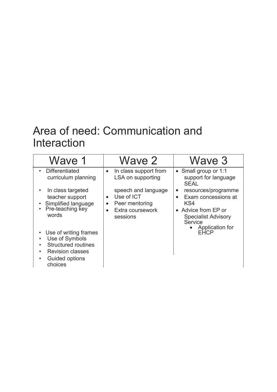## Area of need: Communication and Interaction

| Wave 1                                                                                                                                                                                                                                                                                                                                                      | Wave 2                                                                                                                                                                                | Wave 3                                                                                                                                                                                                                                       |
|-------------------------------------------------------------------------------------------------------------------------------------------------------------------------------------------------------------------------------------------------------------------------------------------------------------------------------------------------------------|---------------------------------------------------------------------------------------------------------------------------------------------------------------------------------------|----------------------------------------------------------------------------------------------------------------------------------------------------------------------------------------------------------------------------------------------|
| • Differentiated<br>curriculum planning<br>In class targeted<br>$\bullet$<br>teacher support<br>Simplified language<br>Pre-teaching key<br>$\bullet$<br>words<br>• Use of writing frames<br>Use of Symbols<br>$\bullet$<br><b>Structured routines</b><br>$\bullet$<br><b>Revision classes</b><br>$\bullet$<br><b>Guided options</b><br>$\bullet$<br>choices | In class support from<br>$\bullet$<br>LSA on supporting<br>speech and language<br>Use of ICT<br>$\bullet$<br>Peer mentoring<br>$\bullet$<br>Extra coursework<br>$\bullet$<br>sessions | • Small group or 1:1<br>support for language<br><b>SEAL</b><br>resources/programme<br>$\bullet$<br>Exam concessions at<br>$\bullet$<br>KS4<br>• Advice from EP or<br><b>Specialist Advisory</b><br>Service<br>Application for<br><b>EHCP</b> |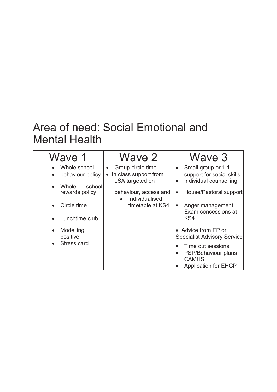## Area of need: Social Emotional and Mental Health

| Wave 1                        | Wave 2                                               | Wave 3                                                                                  |
|-------------------------------|------------------------------------------------------|-----------------------------------------------------------------------------------------|
| Whole school<br>$\bullet$     | Group circle time<br>$\bullet$                       | Small group or 1:1<br>$\bullet$                                                         |
| behaviour policy<br>$\bullet$ | In class support from                                | support for social skills                                                               |
| Whole<br>school<br>$\bullet$  | LSA targeted on                                      | Individual counselling<br>$\bullet$                                                     |
| rewards policy                | behaviour, access and<br>Individualised<br>$\bullet$ | House/Pastoral support<br>$\bullet$                                                     |
| Circle time<br>$\bullet$      | timetable at KS4                                     | Anger management<br>$\bullet$<br>Exam concessions at                                    |
| Lunchtime club<br>$\bullet$   |                                                      | KS4                                                                                     |
| Modelling<br>$\bullet$        |                                                      | • Advice from EP or                                                                     |
| positive                      |                                                      | <b>Specialist Advisory Service</b>                                                      |
| Stress card<br>$\bullet$      |                                                      | Time out sessions<br>PSP/Behaviour plans<br><b>CAMHS</b><br><b>Application for EHCP</b> |